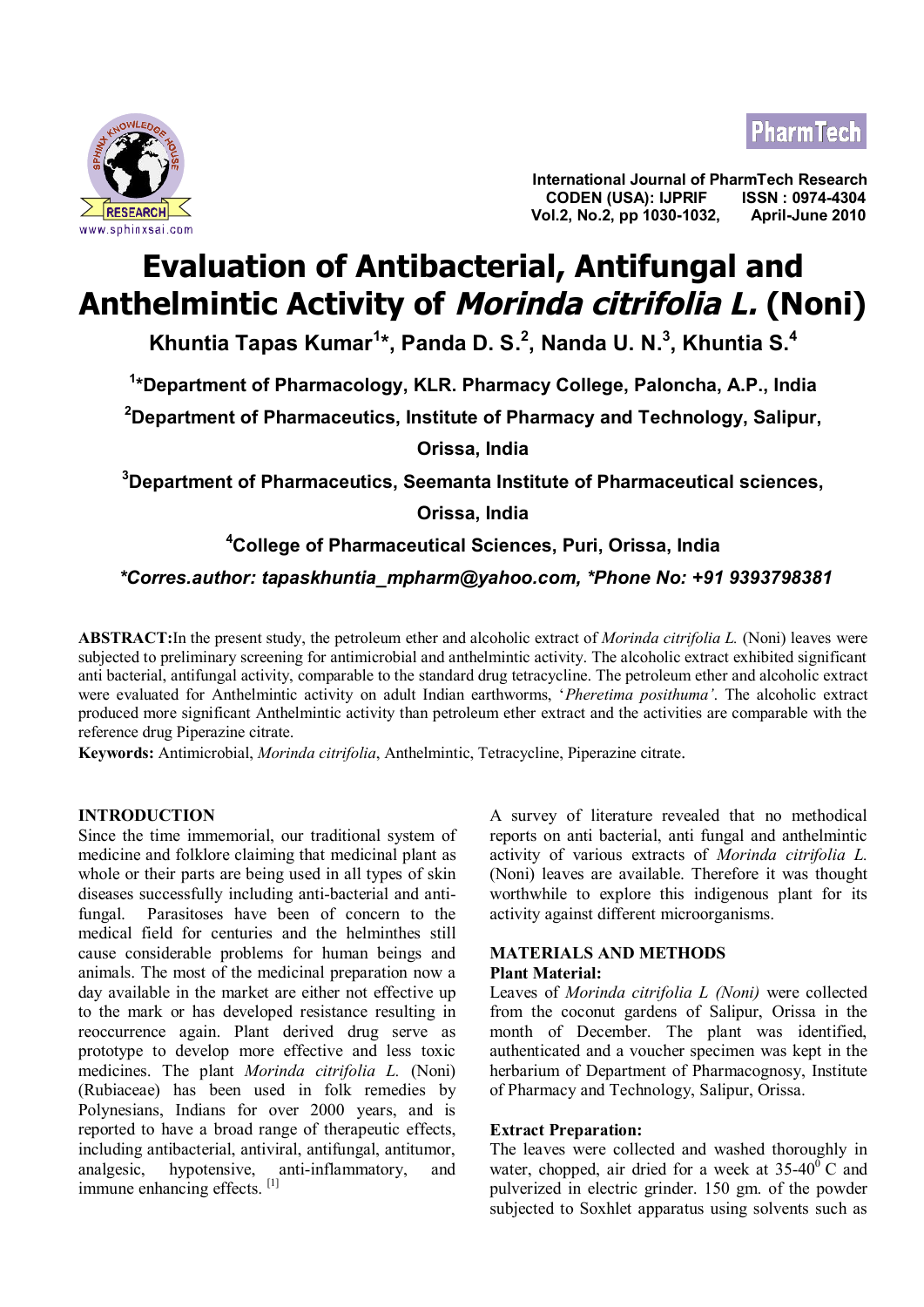



**International Journal of PharmTech Research CODEN (USA): IJPRIF EXECT AND RESEARCH SEXEL ARE SEARCH SEXEL ASSESSED AND RESEARCH SEXEL ASSESSED AND RESEARCH SEXEL APPRIL-JUNE 2010** 

# **Evaluation of Antibacterial, Antifungal and Anthelmintic Activity of Morinda citrifolia L. (Noni)**

**Khuntia Tapas Kumar<sup>1</sup> \*, Panda D. S.<sup>2</sup> , Nanda U. N.<sup>3</sup> , Khuntia S.<sup>4</sup>**

**1 \*Department of Pharmacology, KLR. Pharmacy College, Paloncha, A.P., India**

**<sup>2</sup>Department of Pharmaceutics, Institute of Pharmacy and Technology, Salipur,**

**Orissa, India**

**<sup>3</sup>Department of Pharmaceutics, Seemanta Institute of Pharmaceutical sciences,**

**Orissa, India**

**<sup>4</sup>College of Pharmaceutical Sciences, Puri, Orissa, India**

 *\*Corres.author: [tapaskhuntia\\_mpharm@yahoo.com](mailto:tapaskhuntia_mpharm@yahoo.com), \*Phone No: +91 9393798381*

**ABSTRACT:**In the present study, the petroleum ether and alcoholic extract of *Morinda citrifolia L.* (Noni) leaves were subjected to preliminary screening for antimicrobial and anthelmintic activity. The alcoholic extract exhibited significant anti bacterial, antifungal activity, comparable to the standard drug tetracycline. The petroleum ether and alcoholic extract were evaluated for Anthelmintic activity on adult Indian earthworms, '*Pheretima posithuma'*. The alcoholic extract produced more significant Anthelmintic activity than petroleum ether extract and the activities are comparable with the reference drug Piperazine citrate.

**Keywords:** Antimicrobial, *Morinda citrifolia*, Anthelmintic, Tetracycline, Piperazine citrate.

## **INTRODUCTION**

Since the time immemorial, our traditional system of medicine and folklore claiming that medicinal plant as whole or their parts are being used in all types of skin diseases successfully including anti-bacterial and antifungal. Parasitoses have been of concern to the medical field for centuries and the helminthes still cause considerable problems for human beings and animals. The most of the medicinal preparation now a day available in the market are either not effective up to the mark or has developed resistance resulting in reoccurrence again. Plant derived drug serve as prototype to develop more effective and less toxic medicines. The plant *Morinda citrifolia L.* (Noni) (Rubiaceae) has been used in folk remedies by Polynesians, Indians for over 2000 years, and is reported to have a broad range of therapeutic effects, including antibacterial, antiviral, antifungal, antitumor, analgesic, hypotensive, anti-inflammatory, and immune enhancing effects.<sup>[1]</sup>

A survey of literature revealed that no methodical reports on anti bacterial, anti fungal and anthelmintic activity of various extracts of *Morinda citrifolia L.* (Noni) leaves are available. Therefore it was thought worthwhile to explore this indigenous plant for its activity against different microorganisms.

## **MATERIALS AND METHODS Plant Material:**

Leaves of *Morinda citrifolia L (Noni)* were collected from the coconut gardens of Salipur, Orissa in the month of December. The plant was identified, authenticated and a voucher specimen was kept in the herbarium of Department of Pharmacognosy, Institute of Pharmacy and Technology, Salipur, Orissa.

## **Extract Preparation:**

The leaves were collected and washed thoroughly in water, chopped, air dried for a week at  $35-40^{\circ}$  C and pulverized in electric grinder. 150 gm. of the powder subjected to Soxhlet apparatus using solvents such as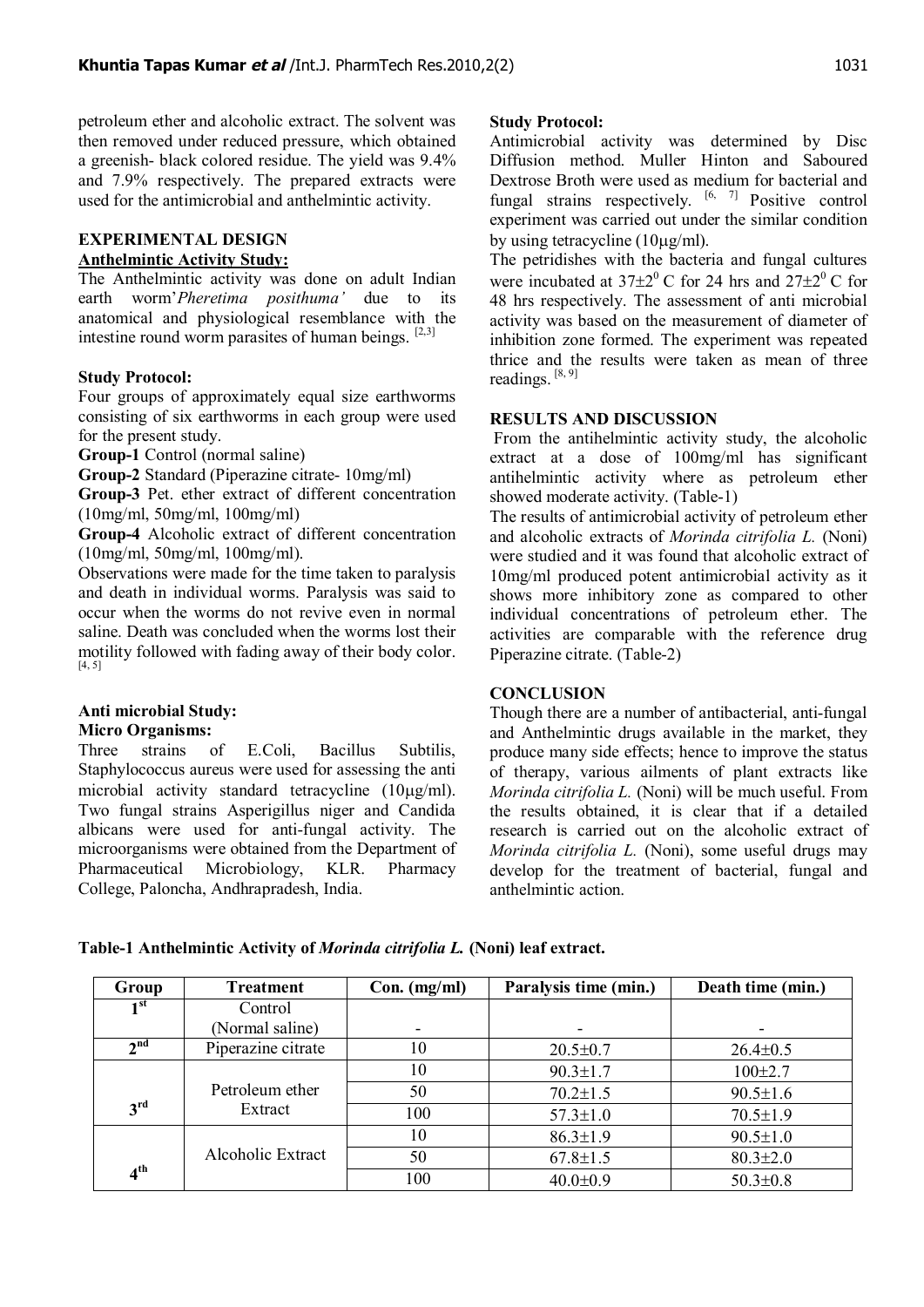petroleum ether and alcoholic extract. The solvent was then removed under reduced pressure, which obtained a greenish- black colored residue. The yield was 9.4% and 7.9% respectively. The prepared extracts were used for the antimicrobial and anthelmintic activity.

## **EXPERIMENTAL DESIGN Anthelmintic Activity Study:**

The Anthelmintic activity was done on adult Indian earth worm'*Pheretima posithuma'* due to its anatomical and physiological resemblance with the intestine round worm parasites of human beings.  $[2,3]$ 

## **Study Protocol:**

Four groups of approximately equal size earthworms consisting of six earthworms in each group were used for the present study.

**Group-1** Control (normal saline)

**Group-2** Standard (Piperazine citrate- 10mg/ml)

**Group-3** Pet. ether extract of different concentration (10mg/ml, 50mg/ml, 100mg/ml)

**Group-4** Alcoholic extract of different concentration (10mg/ml, 50mg/ml, 100mg/ml).

Observations were made for the time taken to paralysis and death in individual worms. Paralysis was said to occur when the worms do not revive even in normal saline. Death was concluded when the worms lost their motility followed with fading away of their body color. [4, 5]

#### **Anti microbial Study: Micro Organisms:**

Three strains of E.Coli, Bacillus Subtilis, Staphylococcus aureus were used for assessing the anti microbial activity standard tetracycline  $(10\mu g/ml)$ . Two fungal strains Asperigillus niger and Candida albicans were used for anti-fungal activity. The microorganisms were obtained from the Department of Pharmaceutical Microbiology, KLR. Pharmacy College, Paloncha, Andhrapradesh, India.

## **Study Protocol:**

Antimicrobial activity was determined by Disc Diffusion method. Muller Hinton and Saboured Dextrose Broth were used as medium for bacterial and fungal strains respectively.  $[6, 7]$  Positive control experiment was carried out under the similar condition by using tetracycline  $(10\mu\text{g/ml})$ .

The petridishes with the bacteria and fungal cultures were incubated at  $37\pm2^0$  C for 24 hrs and  $27\pm2^0$  C for 48 hrs respectively. The assessment of anti microbial activity was based on the measurement of diameter of inhibition zone formed. The experiment was repeated thrice and the results were taken as mean of three readings. [8, 9]

### **RESULTS AND DISCUSSION**

 From the antihelmintic activity study, the alcoholic extract at a dose of 100mg/ml has significant antihelmintic activity where as petroleum ether showed moderate activity. (Table-1)

The results of antimicrobial activity of petroleum ether and alcoholic extracts of *Morinda citrifolia L.* (Noni) were studied and it was found that alcoholic extract of 10mg/ml produced potent antimicrobial activity as it shows more inhibitory zone as compared to other individual concentrations of petroleum ether. The activities are comparable with the reference drug Piperazine citrate. (Table-2)

# **CONCLUSION**

Though there are a number of antibacterial, anti-fungal and Anthelmintic drugs available in the market, they produce many side effects; hence to improve the status of therapy, various ailments of plant extracts like *Morinda citrifolia L.* (Noni) will be much useful. From the results obtained, it is clear that if a detailed research is carried out on the alcoholic extract of *Morinda citrifolia L.* (Noni), some useful drugs may develop for the treatment of bacterial, fungal and anthelmintic action.

| Group           | Treatment                  | $Con.$ (mg/ml) | Paralysis time (min.) | Death time (min.) |  |  |
|-----------------|----------------------------|----------------|-----------------------|-------------------|--|--|
| 1 <sup>st</sup> | Control                    |                |                       |                   |  |  |
|                 | (Normal saline)            |                |                       |                   |  |  |
| $\gamma$ nd     | Piperazine citrate         | 10             | $20.5 \pm 0.7$        | $26.4 \pm 0.5$    |  |  |
|                 |                            | 10             | $90.3 \pm 1.7$        | $100 \pm 2.7$     |  |  |
| 3 <sup>rd</sup> | Petroleum ether<br>Extract | 50             | $70.2 \pm 1.5$        | $90.5 \pm 1.6$    |  |  |
|                 |                            | 100            | $57.3 \pm 1.0$        | $70.5 \pm 1.9$    |  |  |
|                 | Alcoholic Extract          | 10             | $86.3 \pm 1.9$        | $90.5 \pm 1.0$    |  |  |
| 4 <sup>th</sup> |                            | 50             | $67.8 \pm 1.5$        | $80.3 \pm 2.0$    |  |  |
|                 |                            | 100            | $40.0 \pm 0.9$        | $50.3 \pm 0.8$    |  |  |

**Table-1 Anthelmintic Activity of** *Morinda citrifolia L.* **(Noni) leaf extract.**